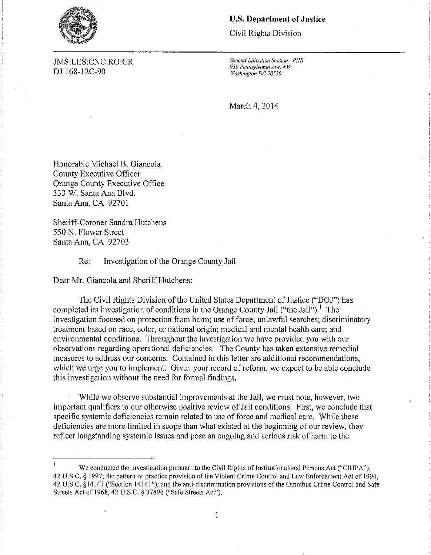

# *Special Litigation Section* ]MS:LES:CNC:RO:CR **-** *PHB*  D] l68-12C-90 *Washington DC 20530*

### **U.S. Department of Justice**

Civil Rights Division

*950 Pennsylvania Ave, NW*

March 4, 2014

Honorable Michael B. Giancola County Executive Officer Orange County Executive Office 333 W. Santa Ana Blvd. Santa Ana, CA 92701

Sheriff-Coroner Sandra Hutchens 550 N. Flower Street Santa Ana, CA 92703

Re: Investigation of the Orange Comty Jail

Dear Mr. Giancola and Sheriff Hutchens:

The Civil Rights Division of the United States Department of Justice ("DO]") has completed its investigation of conditions in the Orange County Jail ("the Jail").<sup>1</sup> The investigation focused on protection from harm; use of force; unlawful searches; discriminatory treatment based on race, color, or national origin; medical and mental health care; and environmental conditions. Throughout the investigation we have provided you with our observations regarding operational deficiencies. The County has taken extensive remedial measures to address our concerns. Contained in this letter are additional recommendations, which we urge you to implement. Given your record of reform, we expect to be able conclude this investigation without the need for formal findings.

While we observe substantial improvements at the Jail, we must note, however, two important qualifiers to our otherwise positive review of Jail conditions. First, we conclude that specific systemic deficiencies remain related to use of force and medical care. While these deficiencies are more limited in scope than what existed at the beginning of our review, they reflect longstanding systemic issues and pose an ongoing and serious risk of harm to the

 $\mathbf{1}$ 

 $\mathbf{1}$ We conducted the investigation pursuant to the Civil Rights of Institutionalized Persons Act ("CRIPA"), 42 U.S.C. § 1997; the pattern or practice provision of the Violent Crime Control and Law Enforcement Act of 1994, 42 U.S.C. §14141 ("Section 14141"); and thc anti-discrimination provisions of the Omnibus Crime Control and Safe Streets Act of 1968, 42 U.S.C. § 3789d ("Safe Streets Acf').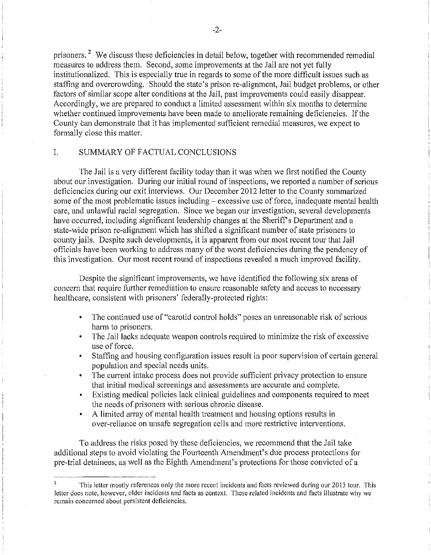prisoners. 2 We discuss these deficiencies in detail below, together with recommended remedial measures to address them. Second, some improvements at the Jail are not yet fully institutionalized. This is especially true in regards to some of the more difficult issues such as staffing and overcrowding. Should the state's prison re-alignment, Jail budget problems, or other factors of similar scope alter conditions at the Jail, past improvements could easily disappear. Accordingly, we are prepared to conduct a limited assessment within six months to determine whether continued improvements have been made to ameliorate remaining deficiencies. If the County can demonstrate that it has implemented sufficient remedial measures, we expect to formally close this matter.

### I. SUMMARY OF FACTUAL CONCLUSIONS

The Jail is a very different facility today than it was when we first notified the County about our investigation. During our initial round of inspections, we reported a number of serious deficiencies during our exit interviews. Our December 2012 letter to the County summarized some of the most problematic issues including – excessive use of force, inadequate mental health care, and unlawful racial segregation. Since we began our investigation, several developments have occurred, including significant leadership changes at the Sheriff's Department and a state-wide prison re-alignment which has shifted a significant number of state prisoners to county jails. Despite such developments, it is apparent from our most recent tour that Jail officials have been working to address many of the worst deficiencies during the pendency of this investigation. Our most recent round of inspections revealed a much improved facility.

Despite the significant improvements, we have identified the following six areas of concern that require further remediation to ensure reasonable safety and access to necessary healthcare, consistent with prisoners' federally-protected rights:

- The continued use of "carotid control holds" poses an unreasonable risk of serious  $\bullet$ harm to prisoners.
- The Jail lacks adequate weapon controls required to minimize the risk of excessive use of force.
- Staffing and housing configuration issues result in poor supervision of certain general population and special needs units.
- $\mathbf{C}^{\dagger}$ The current intake process does not provide sufficient privacy protection to ensure that initial medical screenings and assessments are accurate and complete.
- Existing medical policies lack clinical guidelines and components required to meet the needs of prisoners with serious chronic disease.
- A limited array of mental health treatment and housing options results in over-reliance on unsafe segregation cells and more restrictive interventions.

To address the risks posed by these deficiencies, we recommend that the Jail take additional steps to avoid violating the Fourteenth Amendment's due process protections for pre-trial detainees, as well as the Eighth Amendment's protections for those convicted of a

This letter mostly references only the more recent incidents and facts reviewed during our 2013 tour. This letter does note, however, older incidents and facts as context. These related incidents and facts illustrate why we **remain concerned about persistent deficiencies.**  2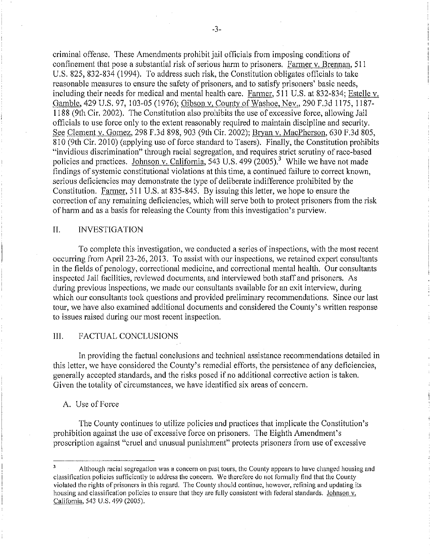criminal offense. These Amendments prohibit jail officials from imposing conditions of confinement that pose a substantial risk of serious harm to prisoners. Farmer v. Brennan, 511 U.S. 825, 832-834 (1994). To address such risk, the Constitution obligates officials to take reasonable measures to ensure the safety of prisoners, and to satisfy prisoners' basic needs, including their needs for medical and mental health care. Farmer, 511 U.S. at 832-834; Estelle v. Gamble, 429 U.S. 97, 103-05 (1976); Gibson v. County of Washoe, Nev., 290 F.3d 1175, 1187-1188 (9th Cir. 2002). The Constitution also prohibits the use of excessive force, allowing Jail officials to use force only to the extent reasonably required to maintain discipline and security. See Clement v. Gomez, 298 F.3d 898, 903 (9th Cir. 2002); Bryan v. MacPherson, 630 F.3d 805, 810 (9th Cir. 2010) (applying use of force standard to Tasers). Finally, the Constitution prohibits "invidious discrimination" through racial segregation, and requires strict scrutiny of race-based policies and practices. Johnson v. California, 543 U.S. 499 (2005)? While we have not made findings of systemic constitutional violations at this time, a continued failure to correct known, serious deficiencies may demonstrate the type of deliberate indifference prohibited by the Constitution. Farmer, 511 U.S. at 835-845. By issuing this letter, we hope to ensure the correction of any remaining deficiencies, which will serve both to protect prisoners from the risk of harm and as a basis for releasing the County from this investigation's purview.

# II. INVESTIGATION

To complete this investigation, we conducted a series of inspections, with the most recent occurring from April 23-26, 2013. To assist with our inspections, we retained expert consultants in the fields of penology, correctional medicine, and correctional mental health. Our consultants inspected Jail facilities, reviewed documents, and interviewed both staff and prisoners. As during previous inspections, we made our consultants available for an exit interview, during which our consultants took questions and provided preliminary recommendations. Since our last tour, we have also examined additional documents and considered the County's written response to issues raised during our most recent inspection.

# III. FACTUAL CONCLUSIONS

In providing the factual conclusions and technical assistance recommendations detailed in this letter, we have considered the County's remedial efforts, the persistence of any deficiencies, generally accepted standards, and the risks posed if no additional corrective action is taken. Given the totality of circumstances, we have identified six areas of concern.

#### A. Use of Force

The County continues to utilize policies and practices that implicate the Constitution's prohibition against the use of excessive force on prisoners. The Eighth Amendment's proscription against "cruel and unusual punishment" protects prisoners from use of excessive

 $\overline{\mathbf{3}}$ Although racial segregation was a concern on past tours, the County appears to have changed housing and classification policies sufficiently to address the concern. We therefore do not formally lind that the County violated the rights of prisoners in this regard. The County should continue, however, refining and updating its housing and classification policies to ensure that they me fully consistent with federal standards. Johnson v. California, 543 U.S. 499 (2005).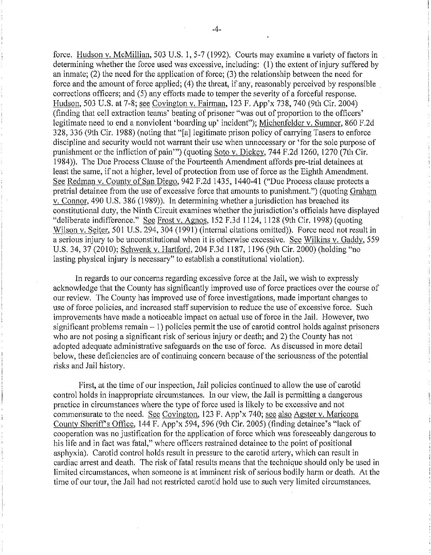force. Hudson v. McMillian, 503 U.S. 1, 5-7 (1992). Courts may examine a variety of factors in determining whether the force used was excessive, including: (I) the extent of injury suffered by an inmate; (2) the need for the application of force; (3) the relationship between the need for force and the amount of force applied; (4) the threat, if any, reasonably perceived by responsible corrections officers; and (5) any efforts made to temper the severity of a forceful response. Hudson, 503 U.S. at 7-8; see Covington v. Fairman, 123 F. App'x 738, 740 (9th Cir. 2004) (finding that cell extraction teams' beating of prisoner "was out of proportion to the officers' legitimate need to end a nonviolent 'boarding up' incident"); Michenfelder v. Sumner, 860 F.2d 328,336 (9th Cir. 1988) (noting that "[a] legitimate prison policy of carrying Tasers to enforce discipline and security would not warrant their use when unnecessary or 'for the sole purpose of punishment or the infliction of pain"') (quoting Soto v. Dickey, 744 F.2d 1260, 1270 (7th Cir. 1984». The Due Process Clause of the Fourteenth Amendment affords pre-trial detainees at least the same, if not a higher, level of protection from use of force as the Eighth Amendment. See Redman v. County of San Diego, 942 F.2d 1435, 1440-41 ("Due Process clause protects a pretrial detainee from the use of excessive force that amounts to punishment.") (quoting Graham v. Connor, 490 U.S. 386 (1989)). In determining whether a jurisdiction has breached its constitutional duty, the Ninth Circuit examines whether the jurisdiction's officials have displayed "deliberate indifference." See Frost v. Agnos,  $152$  F.3d  $1124$ ,  $1128$  (9th Cir. 1998) (quoting Wilson v. Seiter, 501 U.S. 294, 304 (1991) (internal citations omitted)). Force need not result in a serious injury to be unconstitutional when it is otherwise excessive. See Wilkins v. Gaddy, 559 U.S. 34, 37 (2010); Schwenk v. Hartford, 204 F.3d 1187, 1196 (9th Cir. 2000) (holding "no lasting physical injury is necessary" to establish a constitutional violation).

In regards to our concerns regarding excessive force at the Jail, we wish to expressly acknowledge that the County has significantly improved use of force practices over the course of our review. The County has improved use of force investigations, made important changes to use of force policies, and increased staff supervision to reduce the use of excessive force. Such improvements have made a noticeable impact on actual use of force in the Jail. However, two significant problems remain  $-1$ ) policies permit the use of carotid control holds against prisoners who are not posing a significant risk of serious injury or death; and 2) the County has not adopted adequate administrative safeguards on the use of force. As discussed in more detail below, these deficiencies are of continuing concern because of the seriousness of the potential risks and Jail history.

First, at the time of our inspection, Jail policies continued to allow the use of carotid control holds in inappropriate circumstances. In our view, the Jail is permitting a dangerous practice in circumstances where the type of force used is likely to be excessive and not commensurate to the need. See Covington, 123 F. App'x 740; see also Agster v. Maricopa County Sheriff's Office, 144 F. App'x 594, 596 (9th Cir. 2005) (finding detainee's "lack of cooperation was no justification for the application of force which was foreseeably dangerous to his life and in fact was fatal," where officers restrained detainee to the point of positional asphyxia). Carotid control holds result in pressure to the carotid artery, which can result in cardiac arrest and death. The risk of fatal results means that the technique should only be used in limited circumstances, when someone is at imminent risk of serious bodily harm or death. At the time of our tour, the Jail had not restricted carotid hold use to such very limited circumstances.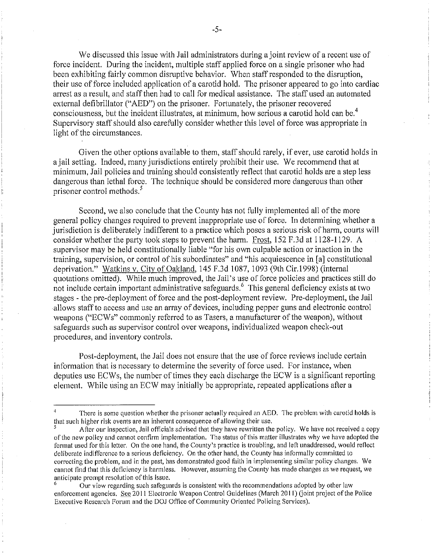We discussed this issue with Jail administrators during a joint review of a recent use of force incident. During the incident, mUltiple staff applied force on a single prisoner who had been exhibiting fairly common disruptive behavior. When staff responded to the disruption, their use of force included application of a carotid hold. The prisoner appeared to go into cardiac arrest as a result, and staff then had to call for medical assistance. The staff used an automated external defibrillator ("AED") on the prisoner. Fortunately, the prisoner recovered consciousness, but the incident illustrates, at minimum, how serious a carotid hold can be.<sup>4</sup> Supervisory staff should also carefully consider whether this level of force was appropriate in light of the circumstances.

Given the other options available to them, staff should rarely, if ever, use carotid holds in ajail setting. Indeed, many jurisdictions entirely prohibit their use. We recommend that at minimum, Jail policies and training should consistently reflect that carotid holds are a step less dangerous than lethal force. The technique should be considered more dangerous than other prisoner control methods.<sup>5</sup>

Second, we also conclude that the County has not fully implemented all of the more general policy changes required to prevent inappropriate use of force. In determining whether a jurisdiction is deliberately indifferent to a practice which poses a serious risk of harm, courts will consider whether the party took steps to prevent the harm. Frost,  $152$  F.3d at  $1128-1129$ . A supervisor may be held constitutionally liable "for his own culpable action or inaction in the training, supervision, or control of his subordinates" and "his acquiescence in [aJ constitutional deprivation." Watkins v, City of Oakland,  $145$  F.3d  $1087$ ,  $1093$  (9th Cir.1998) (internal quotations omitted). While much improved, the Jail's use of force policies and practices still do not include certain important administrative safeguards.<sup>6</sup> This general deficiency exists at two stages - the pre-deployment of force and the post-deployment review. Pre-deployment, the Jail allows staff to access and use an array of devices, including pepper guns and electronic control weapons ("ECWs" commonly referred to as Tasers, a manufacturer of the weapon), without safeguards such as supervisor control over weapons, individualized weapon check-out procedures, and inventory controls.

Post-deployment, the Jail does not ensure that the use of force reviews include certain information that is necessary to determine the severity of force used. For instance, when deputies use ECWs, the number of times they each discharge the ECW is a significant reporting element. While using an ECW may initially be appropriate, repeated applications after a

There is some question whether the prisoner actually required an AED. The problem with carotid holds is that such higher risk cvents are an inherent consequence of aJlowing their use.

<sup>5</sup> After our inspection, Jail officials advised that they have rewritten the policy. We have not received a copy of the new policy and cannot confirm implementation. The status of this matter iJlustrates why we have adopted the format used for this letter. On the one hand, the County's practice is troubling, and left unaddressed, would reflect deliberate indifference to a serious deficiency. On the other hand, the County has informally committed to correcting thc problem, and in the past, has demonstratcd good faith in implementing similar policy changes. We cannot find that this deficiency is harmlcss. Howevcr, assuming the County has made changes as we request, we anticipate prompt resolution of this issuc.

Our view regarding such safeguards is consistent with the recommendations adopted by other law enforcement agencies. See 2011 Electronic Weapon Control Guidelines (March 2011) (joint project of the Police Executive Research Forum and the DOJ Office of Community Oriented Policing Services).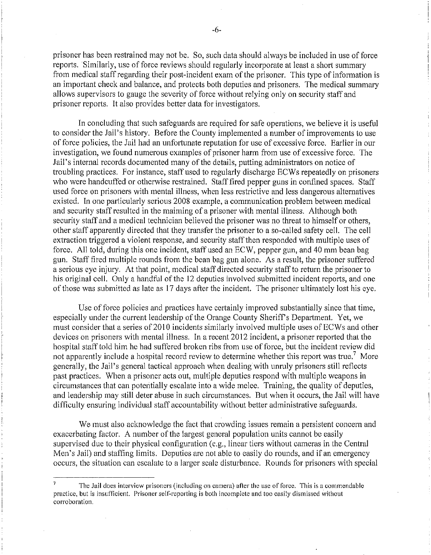prisoner has been restrained may not be. So, such data should always be included in use of force reports. Similarly, use of force reviews should regularly incorporate at least a short summary from medical staff regarding their post-incident exam of the prisoner. This type of information is an important check and balance, and protects both deputies and prisoners. The medical summary allows supervisors to gauge the severity of force without relying only on security staff and prisoner reports. It also provides better data for investigators.

In concluding that such safeguards are required for safe operations, we believe it is useful to consider the Jail's history. Before the County implemented a number of improvements to use of force policies, the Jail had an unfortunate reputation for use of excessive force. Earlier in our investigation, we found numerous examples of prisoner harm from use of excessive force. The Jail's internal records documented many of the details, putting administrators on notice of troubling practices. For instance, staff used to regularly discharge ECWs repeatedly on prisoners who were handcuffed or otherwise restrained. Staff fired pepper guns in confined spaces. Staff used force on prisoners with mental illness, when less restrictive and less dangerous alternatives existed. In one particularly serious 2008 example, a communication problem between medical and security staff resulted in the maiming of a prisoner with mental illness. Although both security staff and a medical technician believed the prisoner was no threat to himself or others, other staff apparently directed that they transfer the prisoner to a so-called safety cell. The cell extraction triggered a violent response, and security staff then responded with multiple uses of force. All told, during this one incident, staff used an ECW, pepper gun, and 40 mm bean bag gun. Staff fired multiple rounds from the bean bag gun alone. As a result, the prisoner suffered a serious eye injury. At that point, medical staff directed security staff to return the prisoner to his original cell. Only a handful of the 12 deputies involved submitted incident reports, and one of those was submitted as late as 17 days after the incident. The prisoner ultimately lost his eye.

Use of force policies and practices have certainly improved substantially since that time, especially under the current leadership of the Orange County Sheriff's Department. Yet, we must consider that a series of 2010 incidents similarly involved multiple uses of ECWs and other devices on prisoners with mental illness. In a recent 2012 incident, a prisoner reported that the hospital staff told him he had suffered broken ribs from use of force, but the incident review did not apparently include a hospital record review to determine whether this report was true.<sup>7</sup> More generally, the Jail's general tactical approach when dealing with unruly prisoners still reflects past practices. When a prisoner acts out, multiple deputies respond with multiple weapons in circumstances that can potentially escalate into a wide melee. Training, the quality of deputies, and leadership may still deter abuse in such circumstances. But when it occurs, the Jail will have difficulty ensuring individual staff accountability without better administrative safeguards.

We must also acknowledge the fact that crowding issues remain a persistent concern and exacerbating factor. A number of the largest general population units cannot be easily supervised due to their physical configuration (e.g., linear tiers without cameras in the Central Men's Jail) and staffing limits. Deputies are not able to easily do rounds, and if an emergency occurs, the situation can escalate to a larger scale disturbance. Rounds for prisoners with special

 $\overline{7}$ The Jail does interview prisoners (including on camera) after the use of force. This is a commendable practice. but is insufficient. Prisoner self-reporting is both incomplete and too easily dismissed without corroboration.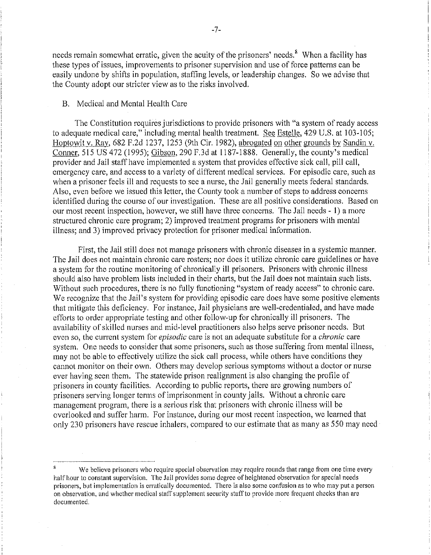needs remain somewhat erratic, given the acuity of the prisoners' needs.<sup>8</sup> When a facility has these types of issues, improvements to prisoner supervision and use of force patterns can be easily undone by shifts in population, staffing levels, or leadership changes. So we advise that the County adopt our stricter view as to the risks involved.

# B. Medical and Mental Health Care

The Constitution requires jurisdictions to provide prisoners with "a system of ready access to adequate medical care," including mental health treatment. See Estelle, 429 U.S. at 103-105; Hoptowit v. Ray, 682 F.2d 1237, 1253 (9th Cir. 1982), abrogated on other grounds by Sandin v. Conner, 515 US 472 (1995); Gibson, 290 F.3d at 1187-1888. Generally, the county's medical provider and Jail staff have implemented a system that provides effective sick call, pill call, emergency care, and access to a variety of different medical services. For episodic care, such as when a prisoner feels ill and requests to see a nurse, the Jail generally meets federal standards. Also, even before we issued this letter, the County took a number of steps to address concerns identified during the course of our investigation. These are all positive considerations. Based on our most recent inspection, however, we still have three concerns. The Jail needs - I) a more structured chronic care program; 2) improved treatment programs for prisoners with mental illness; and 3) improved privacy protection for prisoner medical information.

First, the Jail still does not manage prisoners with chronic diseases in a systemic manner. The Jail does not maintain chronic care rosters; nor does it utilize chronic care guidelines or have a system for the routine monitoring of chronically ill prisoners. Prisoners with chronic illness should also have problem lists included in their charts, but the Jail does not maintain such lists. Without such procedures, there is no fully functioning "system of ready access" to chronic care. We recognize that the Jail's system for providing episodic care does have some positive elements that mitigate this deficiency. For instance, Jail physicians are well-credentialed, and have made efforts to order appropriate testing and other follow-up for chronically ill prisoners. The availability of skilled nurses and mid-level practitioners also helps serve prisoner needs. But even so, the current system for *episodic* care is not an adequate substitute for a *chronic* care system. One needs to consider that some prisoners, such as those suffering from mental illness, may not be able to effectively utilize the sick call process, while others have conditions they cannot monitor on their own. Others may develop serious symptoms without a doctor or nurse ever having seen them. The statewide prison realignment is also changing the profile of prisoners in county facilities. According (0 public reports, there are growing munbers of prisoners serving longer terms of imprisonment in county jails. Without a chronic care management program, there is a serious risk that prisoners with chronic illness will be overlooked and suffer harm. For instance, during our most recent inspection, we learned that only 230 prisoners have rescue inhalers, compared to our estimate that as many as 550 may need

<sup>8</sup> We believe prisoners who require special observation may require rounds that range from one time every half hour to constant supervision. The Jail provides some degree of heightened observation for special needs prisoners, but implementation is erratically documented. There is also some confusion as to who may put a person on observation, and whether medical staff supplement security staff to provide more frequent checks than are documented.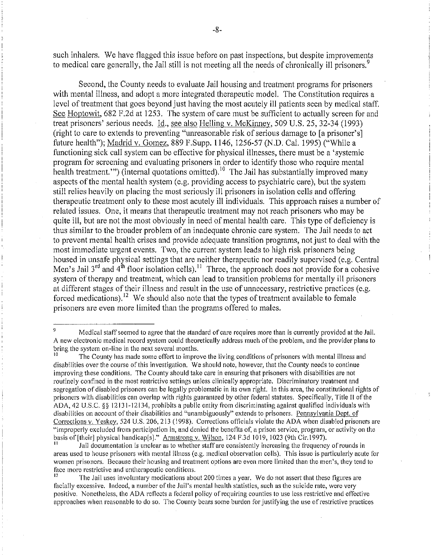such inhalers. We have flagged this issue before on past inspections, but despite improvements to medical care generally, the Jail still is not meeting all the needs of chronically ill prisoners.<sup>9</sup>

Second, the County needs to evaluate Jail housing and treatment programs for prisoners with mental illness, and adopt a more integrated therapeutic model. The Constitution requires a level of treatment that goes beyond just having the most acutely ill patients seen by medical staff. See Hoptowit, 682 F.2d at 1253. The system of care must be sufficient to actually screen for and treat prisoners' serious needs. Id., see also Helling v. McKinney, 509 U.S. 25, 32-34 (1993) (right to care to extends to preventing "unreasonable risk of serious damage to [a prisoner's] future health"); Madrid v. Gomez, 889 F.Supp. 1146, 1256-57 (N.D. Cal. 1995) ("While a functioning sick call system can be effective for physical illnesses, there must be a 'systemic program for screening and evaluating prisoners in order to identify those who require mental health treatment."") (internal quotations omitted).<sup>10</sup> The Jail has substantially improved many aspects of the mental health system (e.g. providing access to psychiatric care), but the system still relies heavily on placing the most seriously ill prisoners in isolation cells and offering therapeutic treatment only to these most acutely ill individuals. This approach raises a number of related issues. One, it means that therapeutic treatment may not reach prisoners who may be quite ill, but are not the most obviously in need of mental health care. This type of deficiency is thus similar to the broader problem of an inadequate chronic care system. The Jail needs to act to prevent mental health crises and provide adequate transition programs, not just to deal with the most immediate urgent events. Two, the current system leads to high risk prisoners being housed in unsafe physical settings that are neither therapeutic nor readily supervised (e.g. Central Men's Jail  $3^{rd}$  and  $4^{th}$  floor isolation cells).<sup>11</sup> Three, the approach does not provide for a cohesive system of therapy and treatment, which can lead to transition problems for mentally ill prisoners at different stages of their illness and result in the use of unnecessary, restrictive practices (e.g. forced medications).<sup>12</sup> We should also note that the types of treatment available to female prisoners are even more limited than the programs offered to males.

<sup>&</sup>lt;sup>9</sup> Medical staff seemed to agree that the standard of care requires more than is currently provided at the Jail. A new electronic medical record system could theoretically address much of the problem, and the provider plans to bring the system on-line in the next several months.

The County has made some effort to improve the living conditions of prisoners with mental illness and disabilities over the course of this investigation. We should note, however, that the County needs to continue improving these conditions. The County should take care in ensuring that prisoners with disabilities are not routinely confined in the most restrictive settings unless clinically appropriate. Discriminatory treatment and segregation of disabled prisoners can be legally problematic in its own right. In this area, the constitutional rights of prisoners with disabilities can overlap with rights guaranteed by other federal statutes. Specifically, Title II ofthe ADA, 42 U.S.C. §§ 12131-12134, prohibits a public entity from discriminating against qualified individuals with disabilities on account of their disabilities and "unambiguously" extends to prisoners. Pennsylvania Dept. of Corrections v. Yeskey. 524 U.S. 206, 213 (1998). Corrections officials violate the ADA when disabled prisonersare "improperly excluded from participation in, and denied the benefits of, a prison service, program, or activity on the basis of [their] physical handicap[s]." Armstrong v. Wilson, 124 F.3d 1019, 1023 (9th Cir.1997).

**<sup>11</sup> Jail documentation is unclear as to whether** staff are **consistently increasing the frequency** of rounds **in**  areas used to house prisoners with mental illness (e.g. medical observation cells). This issue is particularly acute for women prisoners. Because their housing and treatment options are even more limited than the men's, they tend to **face more restrictive and untherapeutic conditions.** 

<sup>12</sup> The Jail uses involuntary medications about 200 times a year. We do not assert that these figures are facially excessive. Indeed, a number of the Jail's mental health statistics, such as the suicide rate, were very positive. Nonetheless, the ADA refiects a federal policy of requiring counties to use less restrictive and effective approaches when reasonable to do so. The County bears some burden for justifying the use of restrictive practices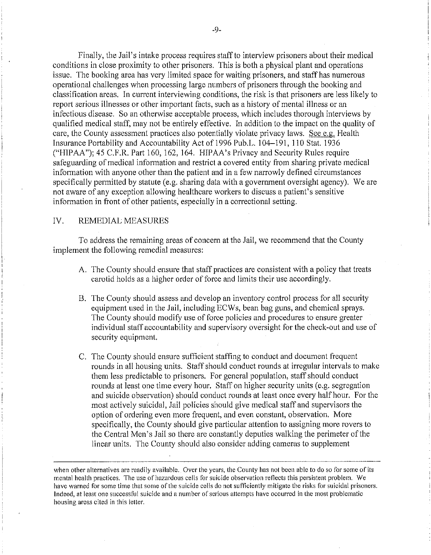Finally, the Jail's intake process requires staff to interview prisoners about their medical conditions in close proximity to other prisoners. This is both a physical plant and operations issue. The booking area has very limited space for waiting prisoners, and staff has numerous operational challenges when processing large numbers of prisoners through the booking and classification areas. In current interviewing conditions, the risk is that prisoners are less likely to report serious illnesses or other important facts, such as a history of mental illness or an infectious disease. So an otherwise acceptable process, which includes thorough interviews by qualified medical staff, may not be entirely effective. In addition to the impact on the quality of care, the County assessment practices also potentially violate privacy laws. See e.g. Health Insurance Portability and Accountability Act of 1996 Pub.L. 104-191, 110 Stat. 1936 ("HIPAA"); 45 C.F.R. Part 160, 162, 164. HIPAA's Privacy and Security Rules require safeguarding of medical information and restrict a covered entity from sharing private medical information with anyone other than the patient and in a few narrowly defined circumstances specifically permitted by statute (e.g. sharing data with a government oversight agency). We are not aware of any exception allowing healthcare workers to discuss a patient's sensitive information in front of other patients, especially in a correctional setting.

### IV. REMEDIAL MEASURES

To address the remaining areas of concern at the Jail, we recommend that the County implement the following remedial measures:

- A. The County should ensure that staff practices are consistent with a policy that treats carotid holds as a higher order of force and limits their use accordingly.
- B. The County should assess and develop an inventory control process for all security equipment used in the Jail, including ECWs, bean bag guns, and chemical sprays. The County should modify use of force policies and procedures to ensure greater individual staff accountability and supervisory oversight for the check-out and use of security equipment.
- C. The County should ensure sufficient staffing to conduct and document frequent rounds in all housing units. Staff should conduct rounds at irregular intervals to make them less predictable to prisoners. For general population, staff should conduct rounds at least one time every hour. Staff on higher security units (e.g. segregation and suicide observation) should conduct rounds at least once every half hour. For the most actively suicidal, Jail policies should give medical staff and supervisors the option of ordering even more frequent, and even constant, observation. More specifically, the County should give particular attention to assigning more rovers to the Central Men's Jail so there are constantly deputies walking the perimeter of the linear units. The County should also consider adding cameras to supplement

when other alternatives are readily available. Over the years, the County has not been able to do so for some of its mental health practices. The use of hazardous cells for suicide observation reflects this persistent problem. We have warned for some time that some of the suicide cells do not sufficiently mitigate the risks for suicidal prisoners. Indeed, at least one successful suicide and a number of serious attempts have occurred in the most problematic housing areas cited in this letter.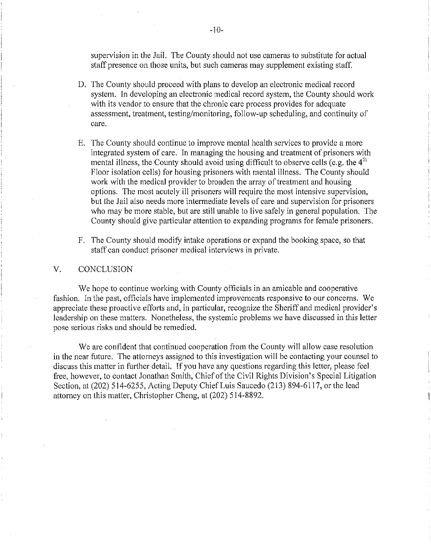supervision in the Jail. The County should not use cameras to substitute for actual staff presence on those units, but such cameras may supplement existing staff.

- D. The County should proceed with plans to develop an electronic medical record system. In developing an electronic medical record system, the County should work with its vendor to ensure that the chronic care process provides for adequate assessment, treatment, testing/monitoring, follow-up scheduling, and continuity of care.
- E. The County should continue to improve mental health services to provide a more integrated system of care. In managing the housing and treatment of prisoners with mental illness, the County should avoid using difficult to observe cells (e.g. the  $4<sup>th</sup>$ Floor isolation cells) for housing prisoners with mental illness. The County should work with the medical provider to broaden the array of treatment and housing options. The most acutely ill prisoners will require the most intensive supervision, but the Jail also needs more intermediate levels of care and supervision for prisoners who may be more stable, but are still unable to live safely in general population. The County should give particular attention to expanding programs for female prisoners.
- F. The County should modify intake operations or expand the booking space, so that staff can conduct prisoner medical interviews in private.

#### V. CONCLUSION

We hope to continue working with County officials in an amicable and cooperative fashion. In the past, officials have implemented improvements responsive to our concerns. We appreciate these proactive efforts and, in particular, recognize the Sheriff and medical provider'S leadership on these matters. Nonetheless, the systemic problems we have discussed in this letter pose serious risks and should be remedied.

We are confident that continued cooperation from the County will allow case resolution in the near future. The attorneys assigned to this investigation will be contacting your counsel to discuss this matter in further detail. If you have any questions regarding this letter, please feel free, however, to contact Jonathan Smith, Chief of the Civil Rights Division's Special Litigation Section, at (202) 514-6255, Acting Deputy Chief Luis Saucedo (213) 894-6117, or the lead attorney on this matter, Christopher Cheng, at (202) 514-8892.